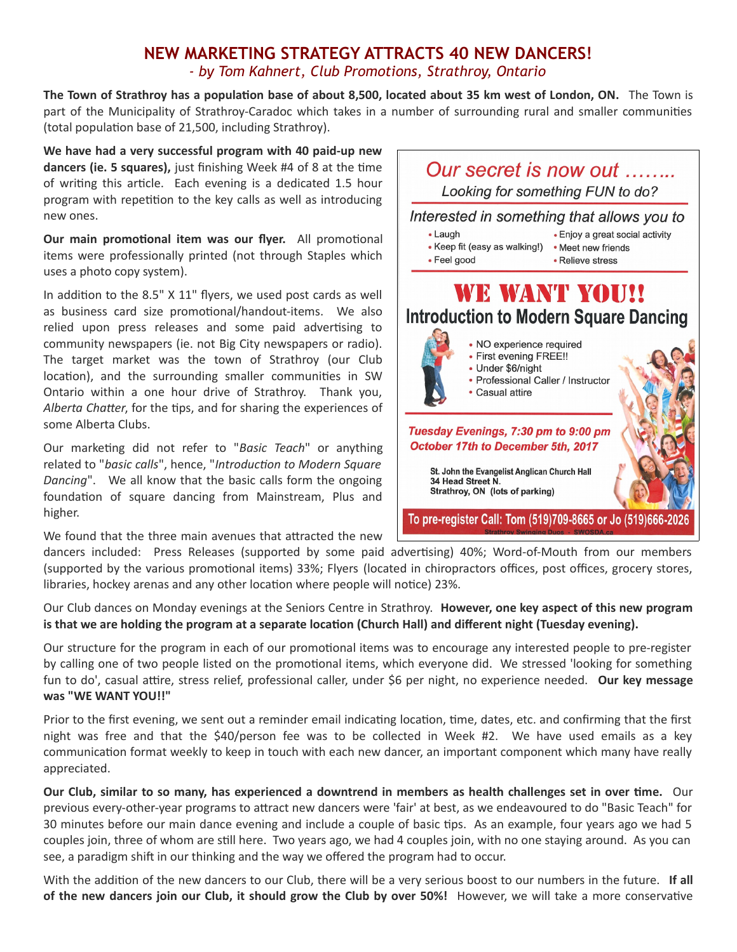## **NEW MARKETING STRATEGY ATTRACTS 40 NEW DANCERS!** *- by Tom Kahnert, Club Promotions, Strathroy, Ontario*

**The Town of Strathroy has a population base of about 8,500, located about 35 km west of London, ON.** The Town is part of the Municipality of Strathroy-Caradoc which takes in a number of surrounding rural and smaller communities (total population base of 21,500, including Strathroy).

**We have had a very successful program with 40 paid-up new dancers (ie. 5 squares),** just finishing Week #4 of 8 at the time of writing this article. Each evening is a dedicated 1.5 hour program with repetition to the key calls as well as introducing new ones.

**Our main promotional item was our flyer.** All promotional items were professionally printed (not through Staples which uses a photo copy system).

In addition to the 8.5" X 11" flyers, we used post cards as well as business card size promotional/handout-items. We also relied upon press releases and some paid advertising to community newspapers (ie. not Big City newspapers or radio). The target market was the town of Strathroy (our Club location), and the surrounding smaller communities in SW Ontario within a one hour drive of Strathroy. Thank you, *Alberta Chatter*, for the tips, and for sharing the experiences of some Alberta Clubs.

Our marketing did not refer to "*Basic Teach*" or anything related to "*basic calls*", hence, "*Introduction to Modern Square Dancing*". We all know that the basic calls form the ongoing foundation of square dancing from Mainstream, Plus and higher.

We found that the three main avenues that attracted the new



dancers included: Press Releases (supported by some paid advertising) 40%; Word-of-Mouth from our members (supported by the various promotional items) 33%; Flyers (located in chiropractors offices, post offices, grocery stores, libraries, hockey arenas and any other location where people will notice) 23%.

Our Club dances on Monday evenings at the Seniors Centre in Strathroy. **However, one key aspect of this new program is that we are holding the program at a separate location (Church Hall) and different night (Tuesday evening).**

Our structure for the program in each of our promotional items was to encourage any interested people to pre-register by calling one of two people listed on the promotional items, which everyone did. We stressed 'looking for something fun to do', casual attire, stress relief, professional caller, under \$6 per night, no experience needed. **Our key message was "WE WANT YOU!!"**

Prior to the first evening, we sent out a reminder email indicating location, time, dates, etc. and confirming that the first night was free and that the \$40/person fee was to be collected in Week #2. We have used emails as a key communication format weekly to keep in touch with each new dancer, an important component which many have really appreciated.

**Our Club, similar to so many, has experienced a downtrend in members as health challenges set in over time.** Our previous every-other-year programs to attract new dancers were 'fair' at best, as we endeavoured to do "Basic Teach" for 30 minutes before our main dance evening and include a couple of basic tips. As an example, four years ago we had 5 couples join, three of whom are still here. Two years ago, we had 4 couples join, with no one staying around. As you can see, a paradigm shift in our thinking and the way we offered the program had to occur.

With the addition of the new dancers to our Club, there will be a very serious boost to our numbers in the future. **If all of the new dancers join our Club, it should grow the Club by over 50%!** However, we will take a more conservative